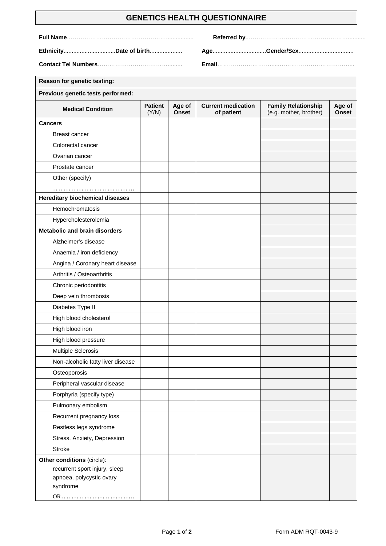## **GENETICS HEALTH QUESTIONNAIRE**

**Ethnicity**................................**Date of birth**.................... **Age**.................................**Gender/Sex**..................................

**Full Name**……………………………………………................. **Referred by**..……………………………………………...........

**Contact Tel Numbers**………………………………......... **Email**………………………......………………………………...

 $\blacksquare$ 

┑

| <b>Reason for genetic testing:</b>     |                         |                        |                                         |                                                      |                        |
|----------------------------------------|-------------------------|------------------------|-----------------------------------------|------------------------------------------------------|------------------------|
| Previous genetic tests performed:      |                         |                        |                                         |                                                      |                        |
| <b>Medical Condition</b>               | <b>Patient</b><br>(Y/N) | Age of<br><b>Onset</b> | <b>Current medication</b><br>of patient | <b>Family Relationship</b><br>(e.g. mother, brother) | Age of<br><b>Onset</b> |
| <b>Cancers</b>                         |                         |                        |                                         |                                                      |                        |
| <b>Breast cancer</b>                   |                         |                        |                                         |                                                      |                        |
| Colorectal cancer                      |                         |                        |                                         |                                                      |                        |
| Ovarian cancer                         |                         |                        |                                         |                                                      |                        |
| Prostate cancer                        |                         |                        |                                         |                                                      |                        |
| Other (specify)                        |                         |                        |                                         |                                                      |                        |
|                                        |                         |                        |                                         |                                                      |                        |
| <b>Hereditary biochemical diseases</b> |                         |                        |                                         |                                                      |                        |
| Hemochromatosis                        |                         |                        |                                         |                                                      |                        |
| Hypercholesterolemia                   |                         |                        |                                         |                                                      |                        |
| <b>Metabolic and brain disorders</b>   |                         |                        |                                         |                                                      |                        |
| Alzheimer's disease                    |                         |                        |                                         |                                                      |                        |
| Anaemia / iron deficiency              |                         |                        |                                         |                                                      |                        |
| Angina / Coronary heart disease        |                         |                        |                                         |                                                      |                        |
| Arthritis / Osteoarthritis             |                         |                        |                                         |                                                      |                        |
| Chronic periodontitis                  |                         |                        |                                         |                                                      |                        |
| Deep vein thrombosis                   |                         |                        |                                         |                                                      |                        |
| Diabetes Type II                       |                         |                        |                                         |                                                      |                        |
| High blood cholesterol                 |                         |                        |                                         |                                                      |                        |
| High blood iron                        |                         |                        |                                         |                                                      |                        |
| High blood pressure                    |                         |                        |                                         |                                                      |                        |
| <b>Multiple Sclerosis</b>              |                         |                        |                                         |                                                      |                        |
| Non-alcoholic fatty liver disease      |                         |                        |                                         |                                                      |                        |
| Osteoporosis                           |                         |                        |                                         |                                                      |                        |
| Peripheral vascular disease            |                         |                        |                                         |                                                      |                        |
| Porphyria (specify type)               |                         |                        |                                         |                                                      |                        |
| Pulmonary embolism                     |                         |                        |                                         |                                                      |                        |
| Recurrent pregnancy loss               |                         |                        |                                         |                                                      |                        |
| Restless legs syndrome                 |                         |                        |                                         |                                                      |                        |
| Stress, Anxiety, Depression            |                         |                        |                                         |                                                      |                        |
| <b>Stroke</b>                          |                         |                        |                                         |                                                      |                        |
| Other conditions (circle):             |                         |                        |                                         |                                                      |                        |
| recurrent sport injury, sleep          |                         |                        |                                         |                                                      |                        |
| apnoea, polycystic ovary<br>syndrome   |                         |                        |                                         |                                                      |                        |
| OR                                     |                         |                        |                                         |                                                      |                        |